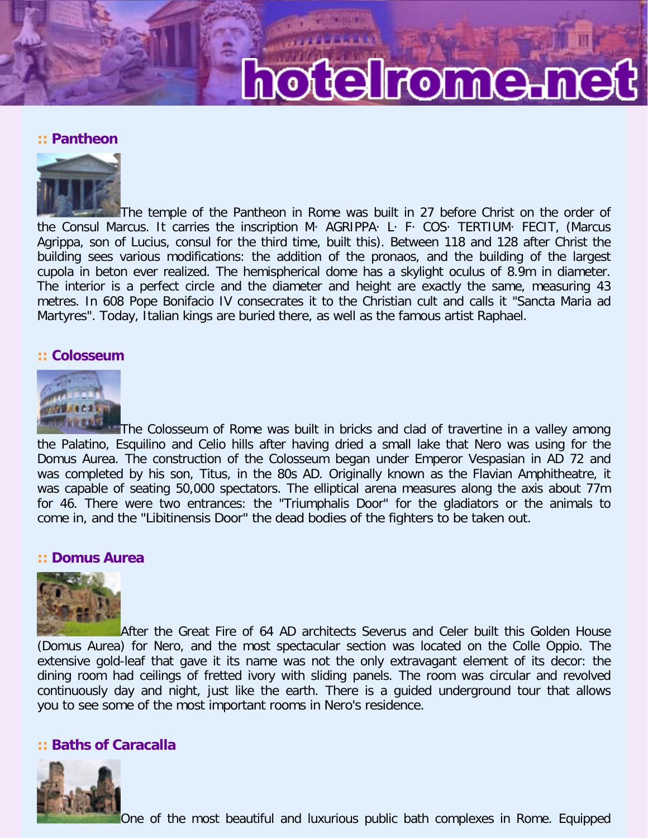# hotelrome.m

## **:: Pantheon**



The temple of the Pantheon in Rome was built in 27 before Christ on the order of the Consul Marcus. It carries the inscription M· AGRIPPA· L· F· COS· TERTIUM· FECIT, (Marcus Agrippa, son of Lucius, consul for the third time, built this). Between 118 and 128 after Christ the building sees various modifications: the addition of the pronaos, and the building of the largest cupola in beton ever realized. The hemispherical dome has a skylight oculus of 8.9m in diameter. The interior is a perfect circle and the diameter and height are exactly the same, measuring 43 metres. In 608 Pope Bonifacio IV consecrates it to the Christian cult and calls it "Sancta Maria ad Martyres". Today, Italian kings are buried there, as well as the famous artist Raphael.

#### **:: Colosseum**



The Colosseum of Rome was built in bricks and clad of travertine in a valley among the Palatino, Esquilino and Celio hills after having dried a small lake that Nero was using for the Domus Aurea. The construction of the Colosseum began under Emperor Vespasian in AD 72 and was completed by his son, Titus, in the 80s AD. Originally known as the Flavian Amphitheatre, it was capable of seating 50,000 spectators. The elliptical arena measures along the axis about 77m for 46. There were two entrances: the "Triumphalis Door" for the gladiators or the animals to come in, and the "Libitinensis Door" the dead bodies of the fighters to be taken out.

### **:: Domus Aurea**



After the Great Fire of 64 AD architects Severus and Celer built this Golden House (Domus Aurea) for Nero, and the most spectacular section was located on the Colle Oppio. The extensive gold-leaf that gave it its name was not the only extravagant element of its decor: the dining room had ceilings of fretted ivory with sliding panels. The room was circular and revolved continuously day and night, just like the earth. There is a guided underground tour that allows you to see some of the most important rooms in Nero's residence.

## **:: Baths of Caracalla**

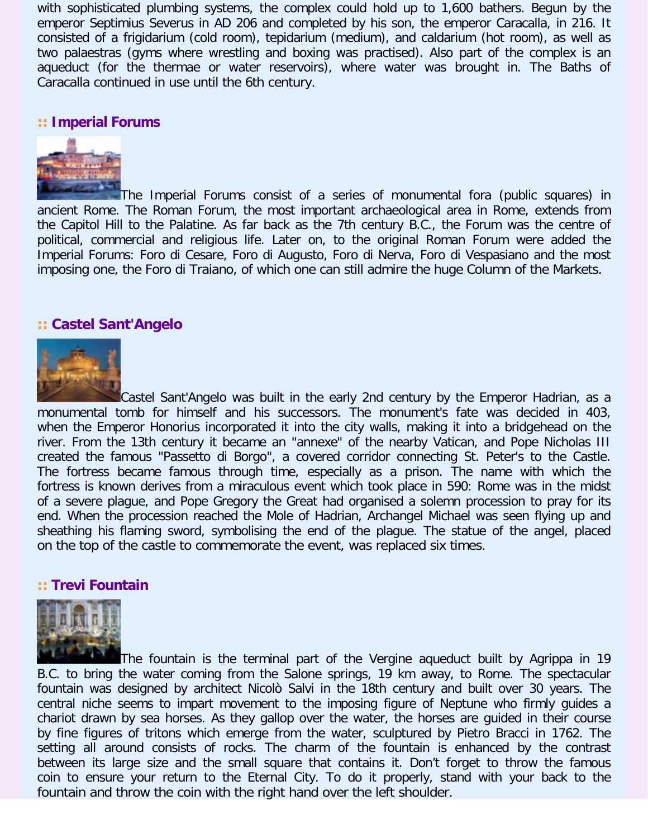with sophisticated plumbing systems, the complex could hold up to 1,600 bathers. Begun by the emperor Septimius Severus in AD 206 and completed by his son, the emperor Caracalla, in 216. It consisted of a frigidarium (cold room), tepidarium (medium), and caldarium (hot room), as well as two palaestras (gyms where wrestling and boxing was practised). Also part of the complex is an aqueduct (for the thermae or water reservoirs), where water was brought in. The Baths of Caracalla continued in use until the 6th century.

# **:: Imperial Forums**



The Imperial Forums consist of a series of monumental fora (public squares) in ancient Rome. The Roman Forum, the most important archaeological area in Rome, extends from the Capitol Hill to the Palatine. As far back as the 7th century B.C., the Forum was the centre of political, commercial and religious life. Later on, to the original Roman Forum were added the Imperial Forums: Foro di Cesare, Foro di Augusto, Foro di Nerva, Foro di Vespasiano and the most imposing one, the Foro di Traiano, of which one can still admire the huge Column of the Markets.

## **:: Castel Sant'Angelo**



Castel Sant'Angelo was built in the early 2nd century by the Emperor Hadrian, as a monumental tomb for himself and his successors. The monument's fate was decided in 403, when the Emperor Honorius incorporated it into the city walls, making it into a bridgehead on the river. From the 13th century it became an "annexe" of the nearby Vatican, and Pope Nicholas III created the famous "Passetto di Borgo", a covered corridor connecting St. Peter's to the Castle. The fortress became famous through time, especially as a prison. The name with which the fortress is known derives from a miraculous event which took place in 590: Rome was in the midst of a severe plague, and Pope Gregory the Great had organised a solemn procession to pray for its end. When the procession reached the Mole of Hadrian, Archangel Michael was seen flying up and sheathing his flaming sword, symbolising the end of the plague. The statue of the angel, placed on the top of the castle to commemorate the event, was replaced six times.

#### **:: Trevi Fountain**



The fountain is the terminal part of the Vergine aqueduct built by Agrippa in 19 B.C. to bring the water coming from the Salone springs, 19 km away, to Rome. The spectacular fountain was designed by architect Nicolò Salvi in the 18th century and built over 30 years. The central niche seems to impart movement to the imposing figure of Neptune who firmly guides a chariot drawn by sea horses. As they gallop over the water, the horses are guided in their course by fine figures of tritons which emerge from the water, sculptured by Pietro Bracci in 1762. The setting all around consists of rocks. The charm of the fountain is enhanced by the contrast between its large size and the small square that contains it. Don't forget to throw the famous coin to ensure your return to the Eternal City. To do it properly, stand with your back to the fountain and throw the coin with the right hand over the left shoulder.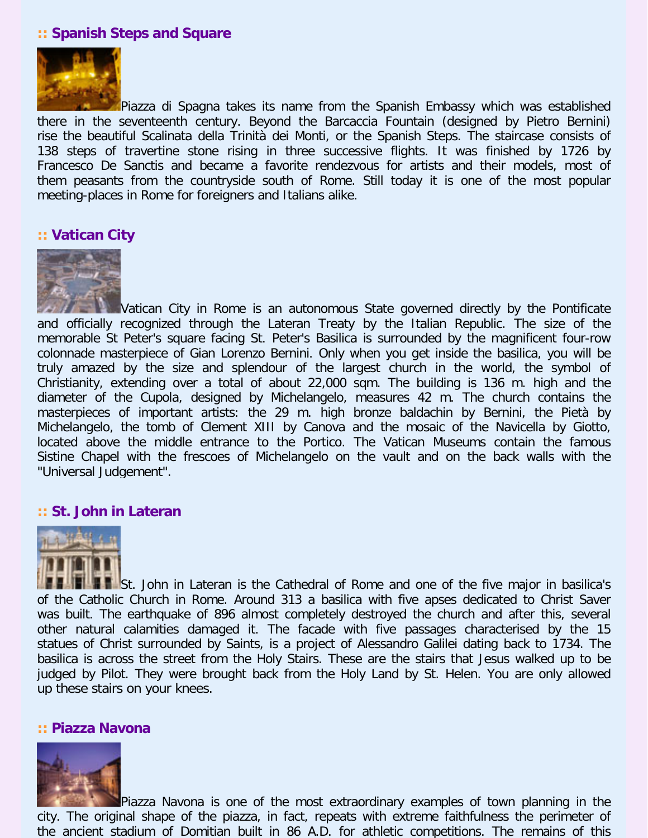# **:: Spanish Steps and Square**



Piazza di Spagna takes its name from the Spanish Embassy which was established there in the seventeenth century. Beyond the Barcaccia Fountain (designed by Pietro Bernini) rise the beautiful Scalinata della Trinità dei Monti, or the Spanish Steps. The staircase consists of 138 steps of travertine stone rising in three successive flights. It was finished by 1726 by Francesco De Sanctis and became a favorite rendezvous for artists and their models, most of them peasants from the countryside south of Rome. Still today it is one of the most popular meeting-places in Rome for foreigners and Italians alike.

### **:: Vatican City**



Vatican City in Rome is an autonomous State governed directly by the Pontificate and officially recognized through the Lateran Treaty by the Italian Republic. The size of the memorable St Peter's square facing St. Peter's Basilica is surrounded by the magnificent four-row colonnade masterpiece of Gian Lorenzo Bernini. Only when you get inside the basilica, you will be truly amazed by the size and splendour of the largest church in the world, the symbol of Christianity, extending over a total of about 22,000 sqm. The building is 136 m. high and the diameter of the Cupola, designed by Michelangelo, measures 42 m. The church contains the masterpieces of important artists: the 29 m. high bronze baldachin by Bernini, the Pietà by Michelangelo, the tomb of Clement XIII by Canova and the mosaic of the Navicella by Giotto, located above the middle entrance to the Portico. The Vatican Museums contain the famous Sistine Chapel with the frescoes of Michelangelo on the vault and on the back walls with the "Universal Judgement".

#### **:: St. John in Lateran**



St. John in Lateran is the Cathedral of Rome and one of the five major in basilica's of the Catholic Church in Rome. Around 313 a basilica with five apses dedicated to Christ Saver was built. The earthquake of 896 almost completely destroyed the church and after this, several other natural calamities damaged it. The facade with five passages characterised by the 15 statues of Christ surrounded by Saints, is a project of Alessandro Galilei dating back to 1734. The basilica is across the street from the Holy Stairs. These are the stairs that Jesus walked up to be judged by Pilot. They were brought back from the Holy Land by St. Helen. You are only allowed up these stairs on your knees.

## **:: Piazza Navona**



Piazza Navona is one of the most extraordinary examples of town planning in the city. The original shape of the piazza, in fact, repeats with extreme faithfulness the perimeter of the ancient stadium of Domitian built in 86 A.D. for athletic competitions. The remains of this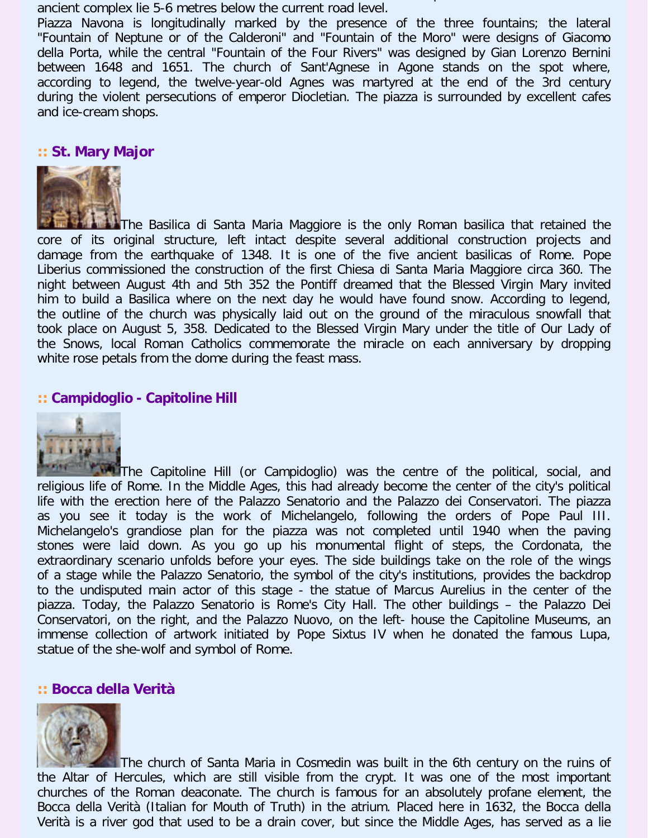the ancient stadium of Domitian built in 86  $\pm$  0.000  $\pm$  0.000  $\pm$  0.000  $\pm$  0.000  $\pm$  0.000  $\pm$ ancient complex lie 5-6 metres below the current road level.

Piazza Navona is longitudinally marked by the presence of the three fountains; the lateral "Fountain of Neptune or of the Calderoni" and "Fountain of the Moro" were designs of Giacomo della Porta, while the central "Fountain of the Four Rivers" was designed by Gian Lorenzo Bernini between 1648 and 1651. The church of Sant'Agnese in Agone stands on the spot where, according to legend, the twelve-year-old Agnes was martyred at the end of the 3rd century during the violent persecutions of emperor Diocletian. The piazza is surrounded by excellent cafes and ice-cream shops.

## **:: St. Mary Major**



The Basilica di Santa Maria Maggiore is the only Roman basilica that retained the core of its original structure, left intact despite several additional construction projects and damage from the earthquake of 1348. It is one of the five ancient basilicas of Rome. Pope Liberius commissioned the construction of the first Chiesa di Santa Maria Maggiore circa 360. The night between August 4th and 5th 352 the Pontiff dreamed that the Blessed Virgin Mary invited him to build a Basilica where on the next day he would have found snow. According to legend, the outline of the church was physically laid out on the ground of the miraculous snowfall that took place on August 5, 358. Dedicated to the Blessed Virgin Mary under the title of Our Lady of the Snows, local Roman Catholics commemorate the miracle on each anniversary by dropping white rose petals from the dome during the feast mass.

## **:: Campidoglio - Capitoline Hill**



**The Capitoline Hill (or Campidoglio)** was the centre of the political, social, and religious life of Rome. In the Middle Ages, this had already become the center of the city's political life with the erection here of the Palazzo Senatorio and the Palazzo dei Conservatori. The piazza as you see it today is the work of Michelangelo, following the orders of Pope Paul III. Michelangelo's grandiose plan for the piazza was not completed until 1940 when the paving stones were laid down. As you go up his monumental flight of steps, the Cordonata, the extraordinary scenario unfolds before your eyes. The side buildings take on the role of the wings of a stage while the Palazzo Senatorio, the symbol of the city's institutions, provides the backdrop to the undisputed main actor of this stage - the statue of Marcus Aurelius in the center of the piazza. Today, the Palazzo Senatorio is Rome's City Hall. The other buildings – the Palazzo Dei Conservatori, on the right, and the Palazzo Nuovo, on the left- house the Capitoline Museums, an immense collection of artwork initiated by Pope Sixtus IV when he donated the famous Lupa, statue of the she-wolf and symbol of Rome.

#### **:: Bocca della Verità**



The church of Santa Maria in Cosmedin was built in the 6th century on the ruins of the Altar of Hercules, which are still visible from the crypt. It was one of the most important churches of the Roman deaconate. The church is famous for an absolutely profane element, the Bocca della Verità (Italian for Mouth of Truth) in the atrium. Placed here in 1632, the Bocca della Verità is a river god that used to be a drain cover, but since the Middle Ages, has served as a lie